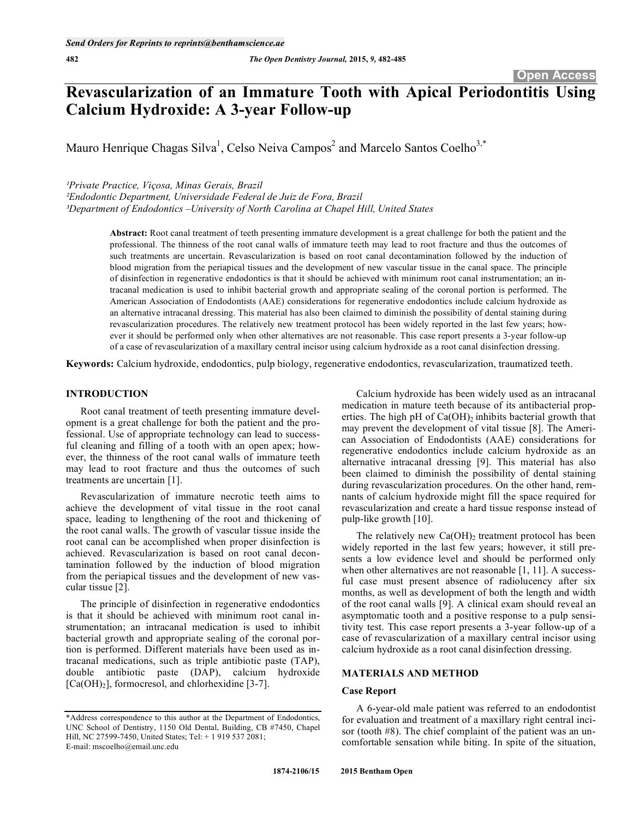# **Revascularization of an Immature Tooth with Apical Periodontitis Using Calcium Hydroxide: A 3-year Follow-up**

Mauro Henrique Chagas Silva<sup>1</sup>, Celso Neiva Campos<sup>2</sup> and Marcelo Santos Coelho<sup>3,\*</sup>

*Private Practice, Viçosa, Minas Gerais, Brazil* 

*-Endodontic Department, Universidade Federal de Juiz de Fora, Brazil Department of Endodontics –University of North Carolina at Chapel Hill, United States* 

> **Abstract:** Root canal treatment of teeth presenting immature development is a great challenge for both the patient and the professional. The thinness of the root canal walls of immature teeth may lead to root fracture and thus the outcomes of such treatments are uncertain. Revascularization is based on root canal decontamination followed by the induction of blood migration from the periapical tissues and the development of new vascular tissue in the canal space. The principle of disinfection in regenerative endodontics is that it should be achieved with minimum root canal instrumentation; an intracanal medication is used to inhibit bacterial growth and appropriate sealing of the coronal portion is performed. The American Association of Endodontists (AAE) considerations for regenerative endodontics include calcium hydroxide as an alternative intracanal dressing. This material has also been claimed to diminish the possibility of dental staining during revascularization procedures. The relatively new treatment protocol has been widely reported in the last few years; however it should be performed only when other alternatives are not reasonable. This case report presents a 3-year follow-up of a case of revascularization of a maxillary central incisor using calcium hydroxide as a root canal disinfection dressing.

**Keywords:** Calcium hydroxide, endodontics, pulp biology, regenerative endodontics, revascularization, traumatized teeth.

# **INTRODUCTION**

Root canal treatment of teeth presenting immature development is a great challenge for both the patient and the professional. Use of appropriate technology can lead to successful cleaning and filling of a tooth with an open apex; however, the thinness of the root canal walls of immature teeth may lead to root fracture and thus the outcomes of such treatments are uncertain [1].

Revascularization of immature necrotic teeth aims to achieve the development of vital tissue in the root canal space, leading to lengthening of the root and thickening of the root canal walls. The growth of vascular tissue inside the root canal can be accomplished when proper disinfection is achieved. Revascularization is based on root canal decontamination followed by the induction of blood migration from the periapical tissues and the development of new vascular tissue [2].

The principle of disinfection in regenerative endodontics is that it should be achieved with minimum root canal instrumentation; an intracanal medication is used to inhibit bacterial growth and appropriate sealing of the coronal portion is performed. Different materials have been used as intracanal medications, such as triple antibiotic paste (TAP), double antibiotic paste (DAP), calcium hydroxide  $[Ca(OH)<sub>2</sub>]$ , formocresol, and chlorhexidine [3-7].

Calcium hydroxide has been widely used as an intracanal medication in mature teeth because of its antibacterial properties. The high pH of  $Ca(OH)_2$  inhibits bacterial growth that may prevent the development of vital tissue [8]. The American Association of Endodontists (AAE) considerations for regenerative endodontics include calcium hydroxide as an alternative intracanal dressing [9]. This material has also been claimed to diminish the possibility of dental staining during revascularization procedures. On the other hand, remnants of calcium hydroxide might fill the space required for revascularization and create a hard tissue response instead of pulp-like growth [10].

The relatively new  $Ca(OH)$ , treatment protocol has been widely reported in the last few years; however, it still presents a low evidence level and should be performed only when other alternatives are not reasonable [1, 11]. A successful case must present absence of radiolucency after six months, as well as development of both the length and width of the root canal walls [9]. A clinical exam should reveal an asymptomatic tooth and a positive response to a pulp sensitivity test. This case report presents a 3-year follow-up of a case of revascularization of a maxillary central incisor using calcium hydroxide as a root canal disinfection dressing.

## **MATERIALS AND METHOD**

#### **Case Report**

A 6-year-old male patient was referred to an endodontist for evaluation and treatment of a maxillary right central incisor (tooth #8). The chief complaint of the patient was an uncomfortable sensation while biting. In spite of the situation,

<sup>\*</sup>Address correspondence to this author at the Department of Endodontics, UNC School of Dentistry, 1150 Old Dental, Building, CB #7450, Chapel Hill, NC 27599-7450, United States; Tel: + 1 919 537 2081; E-mail: mscoelho@email.unc.edu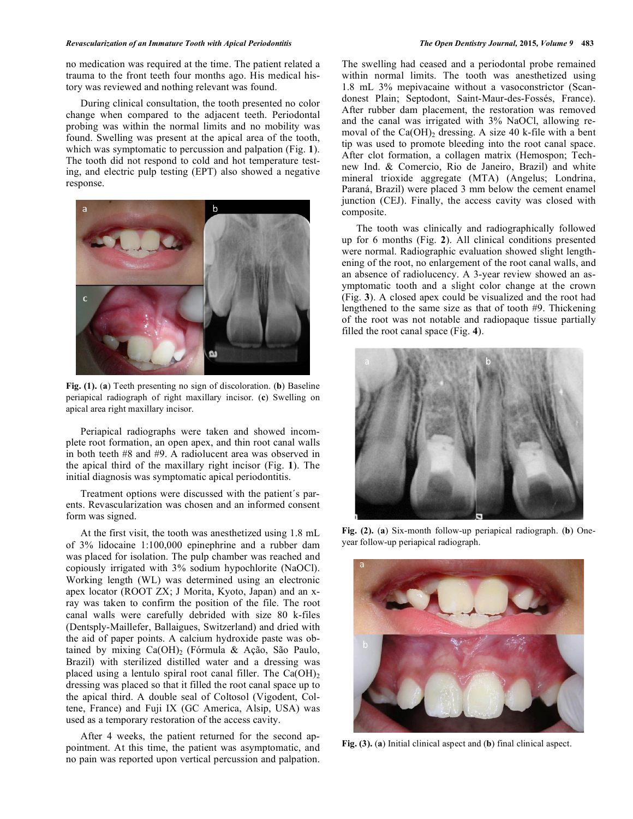#### *Revascularization of an Immature Tooth with Apical Periodontitis The Open Dentistry Journal,* **2015***, Volume 9* **483**

no medication was required at the time. The patient related a trauma to the front teeth four months ago. His medical history was reviewed and nothing relevant was found.

During clinical consultation, the tooth presented no color change when compared to the adjacent teeth. Periodontal probing was within the normal limits and no mobility was found. Swelling was present at the apical area of the tooth, which was symptomatic to percussion and palpation (Fig. **1**). The tooth did not respond to cold and hot temperature testing, and electric pulp testing (EPT) also showed a negative response.



**Fig. (1).** (**a**) Teeth presenting no sign of discoloration. (**b**) Baseline periapical radiograph of right maxillary incisor. (**c**) Swelling on apical area right maxillary incisor.

Periapical radiographs were taken and showed incomplete root formation, an open apex, and thin root canal walls in both teeth #8 and #9. A radiolucent area was observed in the apical third of the maxillary right incisor (Fig. **1**). The initial diagnosis was symptomatic apical periodontitis.

Treatment options were discussed with the patient´s parents. Revascularization was chosen and an informed consent form was signed.

At the first visit, the tooth was anesthetized using 1.8 mL of 3% lidocaine 1:100,000 epinephrine and a rubber dam was placed for isolation. The pulp chamber was reached and copiously irrigated with 3% sodium hypochlorite (NaOCl). Working length (WL) was determined using an electronic apex locator (ROOT ZX; J Morita, Kyoto, Japan) and an xray was taken to confirm the position of the file. The root canal walls were carefully debrided with size 80 k-files (Dentsply-Maillefer, Ballaigues, Switzerland) and dried with the aid of paper points. A calcium hydroxide paste was obtained by mixing  $Ca(OH)_2$  (Fórmula & Ação, São Paulo, Brazil) with sterilized distilled water and a dressing was placed using a lentulo spiral root canal filler. The  $Ca(OH)_2$ dressing was placed so that it filled the root canal space up to the apical third. A double seal of Coltosol (Vigodent, Coltene, France) and Fuji IX (GC America, Alsip, USA) was used as a temporary restoration of the access cavity.

After 4 weeks, the patient returned for the second appointment. At this time, the patient was asymptomatic, and no pain was reported upon vertical percussion and palpation. The swelling had ceased and a periodontal probe remained within normal limits. The tooth was anesthetized using 1.8 mL 3% mepivacaine without a vasoconstrictor (Scandonest Plain; Septodont, Saint-Maur-des-Fossés, France). After rubber dam placement, the restoration was removed and the canal was irrigated with 3% NaOCl, allowing removal of the Ca(OH)<sub>2</sub> dressing. A size 40 k-file with a bent tip was used to promote bleeding into the root canal space. After clot formation, a collagen matrix (Hemospon; Technew Ind. & Comercio, Rio de Janeiro, Brazil) and white mineral trioxide aggregate (MTA) (Angelus; Londrina, Paraná, Brazil) were placed 3 mm below the cement enamel junction (CEJ). Finally, the access cavity was closed with composite.

The tooth was clinically and radiographically followed up for 6 months (Fig. **2**). All clinical conditions presented were normal. Radiographic evaluation showed slight lengthening of the root, no enlargement of the root canal walls, and an absence of radiolucency. A 3-year review showed an asymptomatic tooth and a slight color change at the crown (Fig. **3**). A closed apex could be visualized and the root had lengthened to the same size as that of tooth #9. Thickening of the root was not notable and radiopaque tissue partially filled the root canal space (Fig. **4**).



**Fig. (2).** (**a**) Six-month follow-up periapical radiograph. (**b**) Oneyear follow-up periapical radiograph.



**Fig. (3).** (**a**) Initial clinical aspect and (**b**) final clinical aspect.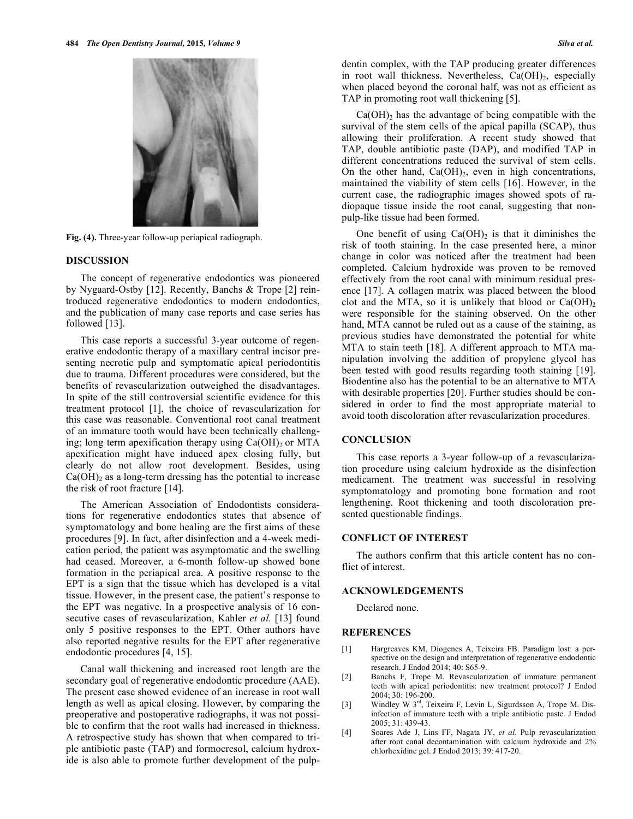

**Fig. (4).** Three-year follow-up periapical radiograph.

#### **DISCUSSION**

The concept of regenerative endodontics was pioneered by Nygaard-Ostby [12]. Recently, Banchs & Trope [2] reintroduced regenerative endodontics to modern endodontics, and the publication of many case reports and case series has followed [13].

This case reports a successful 3-year outcome of regenerative endodontic therapy of a maxillary central incisor presenting necrotic pulp and symptomatic apical periodontitis due to trauma. Different procedures were considered, but the benefits of revascularization outweighed the disadvantages. In spite of the still controversial scientific evidence for this treatment protocol [1], the choice of revascularization for this case was reasonable. Conventional root canal treatment of an immature tooth would have been technically challenging; long term apexification therapy using  $Ca(OH)_2$  or MTA apexification might have induced apex closing fully, but clearly do not allow root development. Besides, using  $Ca(OH)_2$  as a long-term dressing has the potential to increase the risk of root fracture [14].

The American Association of Endodontists considerations for regenerative endodontics states that absence of symptomatology and bone healing are the first aims of these procedures [9]. In fact, after disinfection and a 4-week medication period, the patient was asymptomatic and the swelling had ceased. Moreover, a 6-month follow-up showed bone formation in the periapical area. A positive response to the EPT is a sign that the tissue which has developed is a vital tissue. However, in the present case, the patient's response to the EPT was negative. In a prospective analysis of 16 consecutive cases of revascularization, Kahler *et al.* [13] found only 5 positive responses to the EPT. Other authors have also reported negative results for the EPT after regenerative endodontic procedures [4, 15].

Canal wall thickening and increased root length are the secondary goal of regenerative endodontic procedure (AAE). The present case showed evidence of an increase in root wall length as well as apical closing. However, by comparing the preoperative and postoperative radiographs, it was not possible to confirm that the root walls had increased in thickness. A retrospective study has shown that when compared to triple antibiotic paste (TAP) and formocresol, calcium hydroxide is also able to promote further development of the pulpdentin complex, with the TAP producing greater differences in root wall thickness. Nevertheless,  $Ca(OH)_2$ , especially when placed beyond the coronal half, was not as efficient as TAP in promoting root wall thickening [5].

 $Ca(OH)<sub>2</sub>$  has the advantage of being compatible with the survival of the stem cells of the apical papilla (SCAP), thus allowing their proliferation. A recent study showed that TAP, double antibiotic paste (DAP), and modified TAP in different concentrations reduced the survival of stem cells. On the other hand,  $Ca(OH)_{2}$ , even in high concentrations, maintained the viability of stem cells [16]. However, in the current case, the radiographic images showed spots of radiopaque tissue inside the root canal, suggesting that nonpulp-like tissue had been formed.

One benefit of using  $Ca(OH)_2$  is that it diminishes the risk of tooth staining. In the case presented here, a minor change in color was noticed after the treatment had been completed. Calcium hydroxide was proven to be removed effectively from the root canal with minimum residual presence [17]. A collagen matrix was placed between the blood clot and the MTA, so it is unlikely that blood or  $Ca(OH)_2$ were responsible for the staining observed. On the other hand, MTA cannot be ruled out as a cause of the staining, as previous studies have demonstrated the potential for white MTA to stain teeth [18]. A different approach to MTA manipulation involving the addition of propylene glycol has been tested with good results regarding tooth staining [19]. Biodentine also has the potential to be an alternative to MTA with desirable properties [20]. Further studies should be considered in order to find the most appropriate material to avoid tooth discoloration after revascularization procedures.

## **CONCLUSION**

This case reports a 3-year follow-up of a revascularization procedure using calcium hydroxide as the disinfection medicament. The treatment was successful in resolving symptomatology and promoting bone formation and root lengthening. Root thickening and tooth discoloration presented questionable findings.

# **CONFLICT OF INTEREST**

The authors confirm that this article content has no conflict of interest.

# **ACKNOWLEDGEMENTS**

Declared none.

#### **REFERENCES**

- [1] Hargreaves KM, Diogenes A, Teixeira FB. Paradigm lost: a perspective on the design and interpretation of regenerative endodontic research. J Endod 2014; 40: S65-9.
- [2] Banchs F, Trope M. Revascularization of immature permanent teeth with apical periodontitis: new treatment protocol? J Endod 2004; 30: 196-200.
- [3] Windley W 3<sup>rd</sup>, Teixeira F, Levin L, Sigurdsson A, Trope M. Disinfection of immature teeth with a triple antibiotic paste. J Endod 2005; 31: 439-43.
- [4] Soares Ade J, Lins FF, Nagata JY, *et al.* Pulp revascularization after root canal decontamination with calcium hydroxide and 2% chlorhexidine gel. J Endod 2013; 39: 417-20.